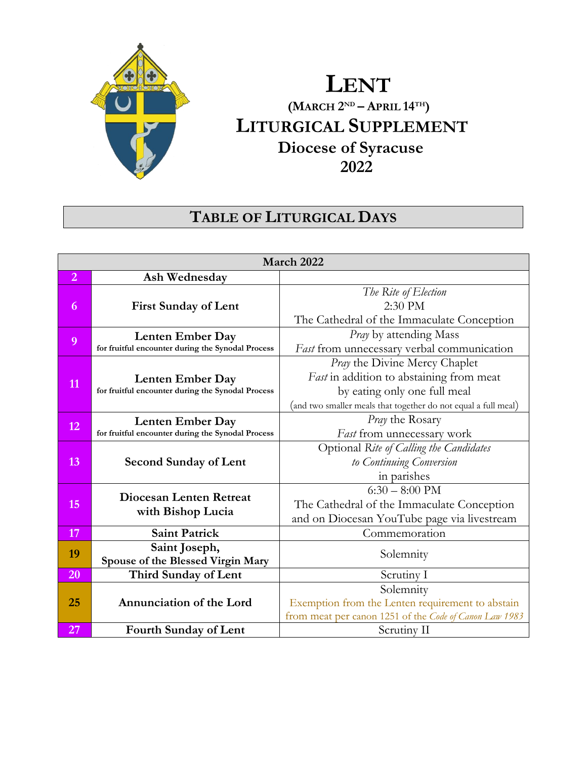

# **LENT (MARCH 2 ND – APRIL 14TH) LITURGICAL SUPPLEMENT Diocese of Syracuse 2022**

# **TABLE OF LITURGICAL DAYS**

| March 2022     |                                                                              |                                                                                                                                                                                    |
|----------------|------------------------------------------------------------------------------|------------------------------------------------------------------------------------------------------------------------------------------------------------------------------------|
| $\overline{2}$ | Ash Wednesday                                                                |                                                                                                                                                                                    |
| 6              | <b>First Sunday of Lent</b>                                                  | The Rite of Election<br>2:30 PM<br>The Cathedral of the Immaculate Conception                                                                                                      |
| 9              | Lenten Ember Day<br>for fruitful encounter during the Synodal Process        | <i>Pray</i> by attending Mass<br>Fast from unnecessary verbal communication                                                                                                        |
| 11             | Lenten Ember Day<br>for fruitful encounter during the Synodal Process        | <i>Pray</i> the Divine Mercy Chaplet<br>Fast in addition to abstaining from meat<br>by eating only one full meal<br>(and two smaller meals that together do not equal a full meal) |
| 12             | <b>Lenten Ember Day</b><br>for fruitful encounter during the Synodal Process | Pray the Rosary<br>Fast from unnecessary work                                                                                                                                      |
| 13             | <b>Second Sunday of Lent</b>                                                 | Optional Rite of Calling the Candidates<br>to Continuing Conversion<br>in parishes                                                                                                 |
| 15             | <b>Diocesan Lenten Retreat</b><br>with Bishop Lucia                          | $6:30 - 8:00 \text{ PM}$<br>The Cathedral of the Immaculate Conception<br>and on Diocesan YouTube page via livestream                                                              |
| 17             | <b>Saint Patrick</b>                                                         | Commemoration                                                                                                                                                                      |
| 19             | Saint Joseph,<br>Spouse of the Blessed Virgin Mary                           | Solemnity                                                                                                                                                                          |
| 20             | Third Sunday of Lent                                                         | Scrutiny I                                                                                                                                                                         |
| 25             | Annunciation of the Lord                                                     | Solemnity<br>Exemption from the Lenten requirement to abstain<br>from meat per canon 1251 of the Code of Canon Law 1983                                                            |
| 27             | <b>Fourth Sunday of Lent</b>                                                 | Scrutiny II                                                                                                                                                                        |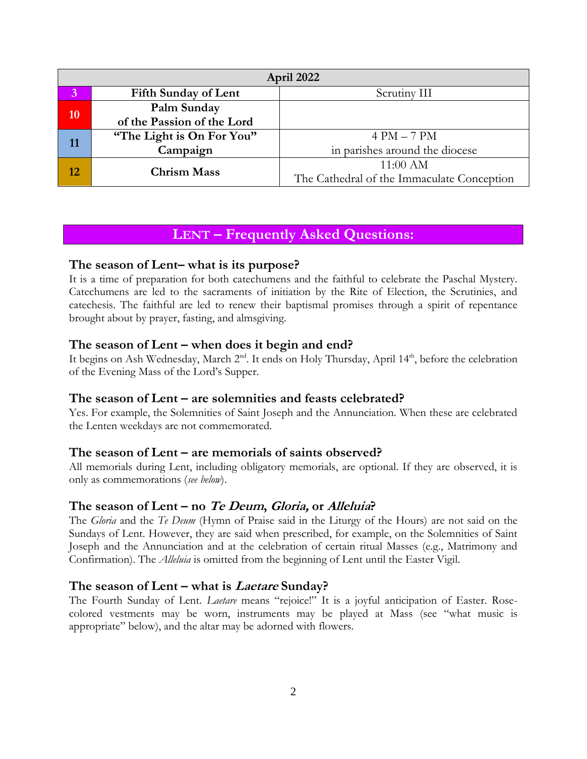| April 2022 |                             |                                            |
|------------|-----------------------------|--------------------------------------------|
|            | <b>Fifth Sunday of Lent</b> | Scrutiny III                               |
| <b>10</b>  | Palm Sunday                 |                                            |
|            | of the Passion of the Lord  |                                            |
| 11         | "The Light is On For You"   | $4 PM - 7 PM$                              |
|            | Campaign                    | in parishes around the diocese             |
| 12         | <b>Chrism Mass</b>          | $11:00$ AM                                 |
|            |                             | The Cathedral of the Immaculate Conception |

# **The season of Lent– what is its purpose?**

It is a time of preparation for both catechumens and the faithful to celebrate the Paschal Mystery. Catechumens are led to the sacraments of initiation by the Rite of Election, the Scrutinies, and catechesis. The faithful are led to renew their baptismal promises through a spirit of repentance brought about by prayer, fasting, and almsgiving.

# **The season of Lent – when does it begin and end?**

It begins on Ash Wednesday, March 2<sup>nd</sup>. It ends on Holy Thursday, April 14<sup>th</sup>, before the celebration of the Evening Mass of the Lord's Supper.

# **The season of Lent – are solemnities and feasts celebrated?**

Yes. For example, the Solemnities of Saint Joseph and the Annunciation. When these are celebrated the Lenten weekdays are not commemorated.

# **The season of Lent – are memorials of saints observed?**

All memorials during Lent, including obligatory memorials, are optional. If they are observed, it is only as commemorations (*see below*).

# **The season of Lent – no Te Deum, Gloria, or Alleluia?**

The *Gloria* and the *Te Deum* (Hymn of Praise said in the Liturgy of the Hours) are not said on the Sundays of Lent. However, they are said when prescribed, for example, on the Solemnities of Saint Joseph and the Annunciation and at the celebration of certain ritual Masses (e.g., Matrimony and Confirmation). The *Alleluia* is omitted from the beginning of Lent until the Easter Vigil.

# **The season of Lent – what is Laetare Sunday?**

The Fourth Sunday of Lent. *Laetare* means "rejoice!" It is a joyful anticipation of Easter. Rosecolored vestments may be worn, instruments may be played at Mass (see "what music is appropriate" below), and the altar may be adorned with flowers.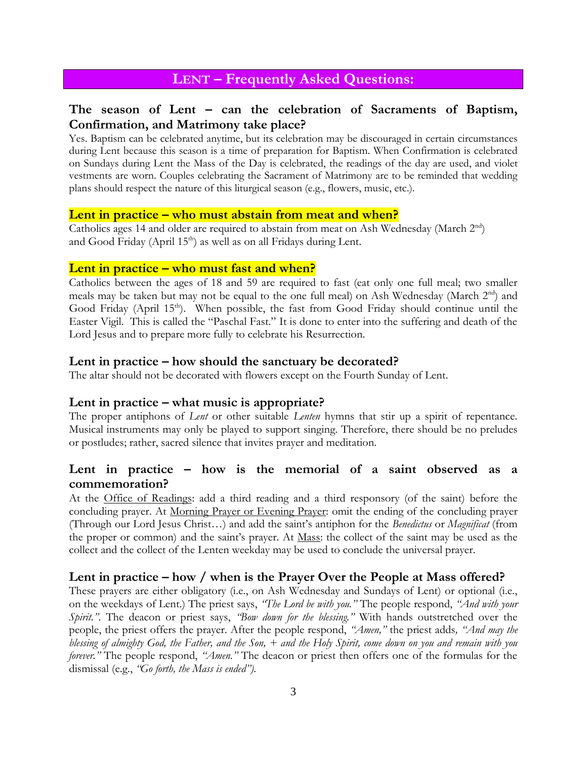# **The season of Lent – can the celebration of Sacraments of Baptism, Confirmation, and Matrimony take place?**

Yes. Baptism can be celebrated anytime, but its celebration may be discouraged in certain circumstances during Lent because this season is a time of preparation for Baptism. When Confirmation is celebrated on Sundays during Lent the Mass of the Day is celebrated, the readings of the day are used, and violet vestments are worn. Couples celebrating the Sacrament of Matrimony are to be reminded that wedding plans should respect the nature of this liturgical season (e.g., flowers, music, etc.).

#### **Lent in practice – who must abstain from meat and when?**

Catholics ages 14 and older are required to abstain from meat on Ash Wednesday (March  $2<sup>nd</sup>$ ) and Good Friday (April 15<sup>th</sup>) as well as on all Fridays during Lent.

### **Lent in practice – who must fast and when?**

Catholics between the ages of 18 and 59 are required to fast (eat only one full meal; two smaller meals may be taken but may not be equal to the one full meal) on Ash Wednesday (March 2<sup>nd</sup>) and Good Friday (April 15<sup>th</sup>). When possible, the fast from Good Friday should continue until the Easter Vigil. This is called the "Paschal Fast." It is done to enter into the suffering and death of the Lord Jesus and to prepare more fully to celebrate his Resurrection.

#### **Lent in practice – how should the sanctuary be decorated?**

The altar should not be decorated with flowers except on the Fourth Sunday of Lent.

### **Lent in practice – what music is appropriate?**

The proper antiphons of *Lent* or other suitable *Lenten* hymns that stir up a spirit of repentance. Musical instruments may only be played to support singing. Therefore, there should be no preludes or postludes; rather, sacred silence that invites prayer and meditation.

# **Lent in practice – how is the memorial of a saint observed as a commemoration?**

At the Office of Readings: add a third reading and a third responsory (of the saint) before the concluding prayer. At Morning Prayer or Evening Prayer: omit the ending of the concluding prayer (Through our Lord Jesus Christ…) and add the saint's antiphon for the *Benedictus* or *Magnificat* (from the proper or common) and the saint's prayer. At Mass: the collect of the saint may be used as the collect and the collect of the Lenten weekday may be used to conclude the universal prayer.

### **Lent in practice – how / when is the Prayer Over the People at Mass offered?**

These prayers are either obligatory (i.e., on Ash Wednesday and Sundays of Lent) or optional (i.e., on the weekdays of Lent.) The priest says, *"The Lord be with you."* The people respond, *"And with your Spirit."*. The deacon or priest says, *"Bow down for the blessing."* With hands outstretched over the people, the priest offers the prayer. After the people respond, *"Amen,"* the priest adds*, "And may the blessing of almighty God, the Father, and the Son, + and the Holy Spirit, come down on you and remain with you forever.*" The people respond, "*Amen.*" The deacon or priest then offers one of the formulas for the dismissal (e.g., *"Go forth, the Mass is ended").*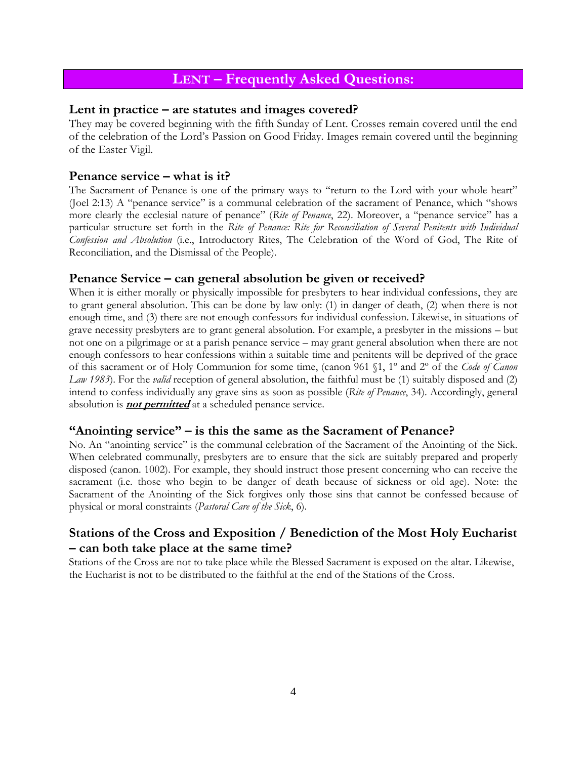### **Lent in practice – are statutes and images covered?**

They may be covered beginning with the fifth Sunday of Lent. Crosses remain covered until the end of the celebration of the Lord's Passion on Good Friday. Images remain covered until the beginning of the Easter Vigil.

### **Penance service – what is it?**

The Sacrament of Penance is one of the primary ways to "return to the Lord with your whole heart" (Joel 2:13) A "penance service" is a communal celebration of the sacrament of Penance, which "shows more clearly the ecclesial nature of penance" (*Rite of Penance*, 22). Moreover, a "penance service" has a particular structure set forth in the *Rite of Penance: Rite for Reconciliation of Several Penitents with Individual Confession and Absolution* (i.e., Introductory Rites, The Celebration of the Word of God, The Rite of Reconciliation, and the Dismissal of the People).

### **Penance Service – can general absolution be given or received?**

When it is either morally or physically impossible for presbyters to hear individual confessions, they are to grant general absolution. This can be done by law only: (1) in danger of death, (2) when there is not enough time, and (3) there are not enough confessors for individual confession. Likewise, in situations of grave necessity presbyters are to grant general absolution. For example, a presbyter in the missions – but not one on a pilgrimage or at a parish penance service – may grant general absolution when there are not enough confessors to hear confessions within a suitable time and penitents will be deprived of the grace of this sacrament or of Holy Communion for some time, (canon 961 §1, 1º and 2º of the *Code of Canon Law 1983*). For the *valid* reception of general absolution, the faithful must be (1) suitably disposed and (2) intend to confess individually any grave sins as soon as possible (*Rite of Penance*, 34). Accordingly, general absolution is **not permitted** at a scheduled penance service.

### **"Anointing service" – is this the same as the Sacrament of Penance?**

No. An "anointing service" is the communal celebration of the Sacrament of the Anointing of the Sick. When celebrated communally, presbyters are to ensure that the sick are suitably prepared and properly disposed (canon. 1002). For example, they should instruct those present concerning who can receive the sacrament (i.e. those who begin to be danger of death because of sickness or old age). Note: the Sacrament of the Anointing of the Sick forgives only those sins that cannot be confessed because of physical or moral constraints (*Pastoral Care of the Sick*, 6).

# **Stations of the Cross and Exposition / Benediction of the Most Holy Eucharist – can both take place at the same time?**

Stations of the Cross are not to take place while the Blessed Sacrament is exposed on the altar. Likewise, the Eucharist is not to be distributed to the faithful at the end of the Stations of the Cross.